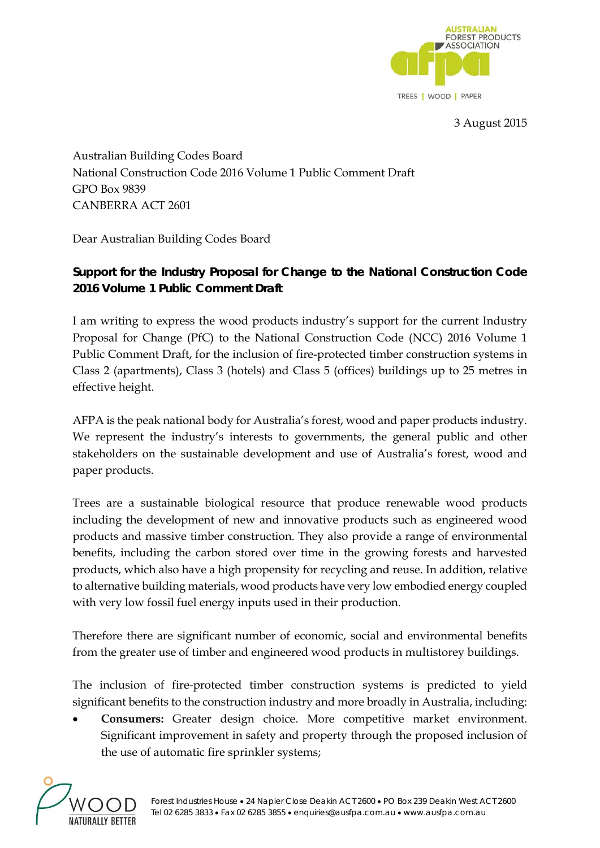

3 August 2015

Australian Building Codes Board National Construction Code 2016 Volume 1 Public Comment Draft GPO Box 9839 CANBERRA ACT 2601

Dear Australian Building Codes Board

## **Support for the Industry Proposal for Change to the National Construction Code 2016 Volume 1 Public Comment Draft**

I am writing to express the wood products industry's support for the current Industry Proposal for Change (PfC) to the National Construction Code (NCC) 2016 Volume 1 Public Comment Draft, for the inclusion of fire-protected timber construction systems in Class 2 (apartments), Class 3 (hotels) and Class 5 (offices) buildings up to 25 metres in effective height.

AFPA is the peak national body for Australia's forest, wood and paper products industry. We represent the industry's interests to governments, the general public and other stakeholders on the sustainable development and use of Australia's forest, wood and paper products.

Trees are a sustainable biological resource that produce renewable wood products including the development of new and innovative products such as engineered wood products and massive timber construction. They also provide a range of environmental benefits, including the carbon stored over time in the growing forests and harvested products, which also have a high propensity for recycling and reuse. In addition, relative to alternative building materials, wood products have very low embodied energy coupled with very low fossil fuel energy inputs used in their production.

Therefore there are significant number of economic, social and environmental benefits from the greater use of timber and engineered wood products in multistorey buildings.

The inclusion of fire-protected timber construction systems is predicted to yield significant benefits to the construction industry and more broadly in Australia, including:

 **Consumers:** Greater design choice. More competitive market environment. Significant improvement in safety and property through the proposed inclusion of the use of automatic fire sprinkler systems;